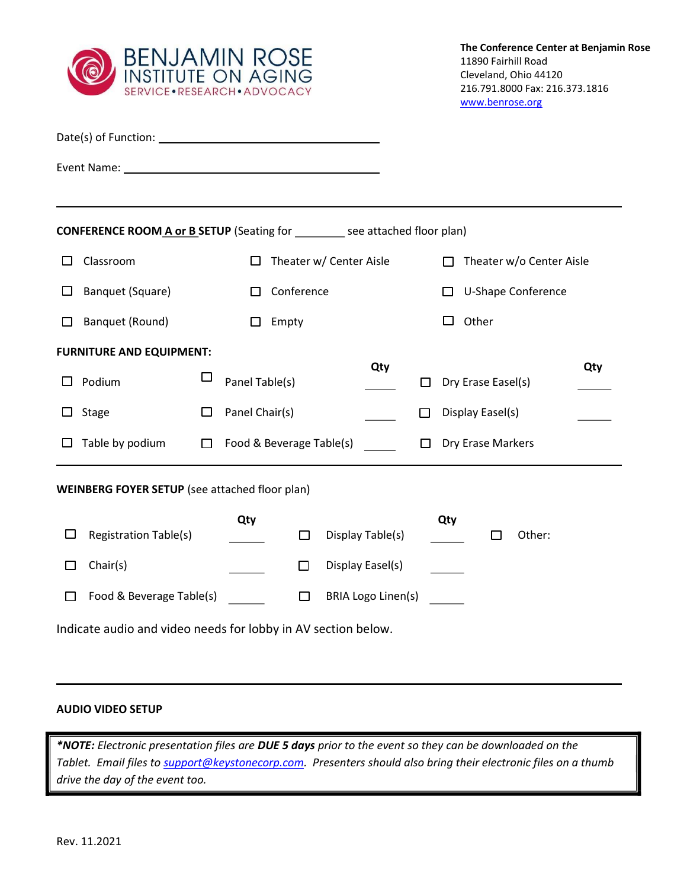

|                                                               | <b>CONFERENCE ROOM A or B SETUP</b> (Seating for ________ see attached floor plan) |            |                          |                           |                                    |                           |     |  |  |
|---------------------------------------------------------------|------------------------------------------------------------------------------------|------------|--------------------------|---------------------------|------------------------------------|---------------------------|-----|--|--|
| $\Box$                                                        | Classroom                                                                          |            |                          | Theater w/ Center Aisle   | Theater w/o Center Aisle<br>$\Box$ |                           |     |  |  |
| $\Box$                                                        | Banquet (Square)                                                                   | Conference |                          |                           |                                    | U-Shape Conference<br>l I |     |  |  |
| П                                                             | Banquet (Round)                                                                    | Empty      |                          |                           |                                    | Other<br>П                |     |  |  |
| <b>FURNITURE AND EQUIPMENT:</b>                               |                                                                                    |            |                          |                           |                                    |                           |     |  |  |
| ப                                                             | Podium                                                                             | $\Box$     | Panel Table(s)           | Qty                       | $\Box$                             | Dry Erase Easel(s)        | Qty |  |  |
| $\Box$                                                        | Stage                                                                              | □          | Panel Chair(s)           |                           | □                                  | Display Easel(s)          |     |  |  |
|                                                               | $\Box$ Table by podium                                                             | $\Box$     | Food & Beverage Table(s) |                           | $\Box$                             | Dry Erase Markers         |     |  |  |
| <b>WEINBERG FOYER SETUP</b> (see attached floor plan)         |                                                                                    |            |                          |                           |                                    |                           |     |  |  |
| $\Box$                                                        | <b>Registration Table(s)</b>                                                       |            | Qty<br>$\Box$            | Display Table(s)          |                                    | Qty<br>Other:<br>П        |     |  |  |
| Ш                                                             | Chair(s)                                                                           |            | $\Box$                   | Display Easel(s)          |                                    |                           |     |  |  |
| □                                                             | Food & Beverage Table(s)                                                           |            | $\Box$                   | <b>BRIA Logo Linen(s)</b> |                                    |                           |     |  |  |
| Indicate audio and video needs for lobby in AV section below. |                                                                                    |            |                          |                           |                                    |                           |     |  |  |

## AUDIO VIDEO SETUP

ı

\*NOTE: Electronic presentation files are DUE 5 days prior to the event so they can be downloaded on the Tablet. Email files to **support@keystonecorp.com**. Presenters should also bring their electronic files on a thumb drive the day of the event too.